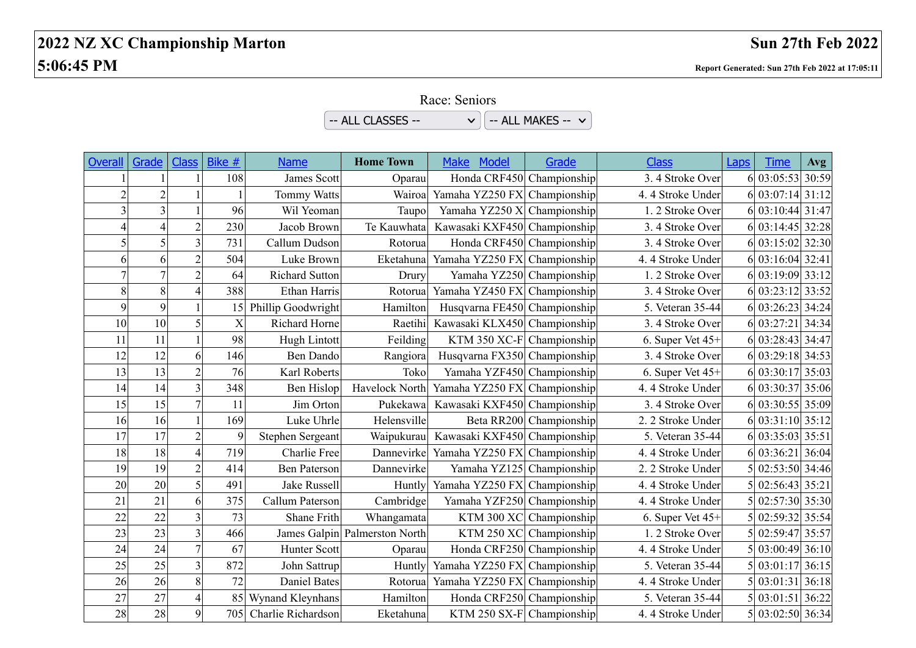## **2022 NZ XC Championship Marton Sun 27th Feb 2022 5:06:45 PM Report Generated: Sun 27th Feb 2022 at 17:05:11**

Race: Seniors

 $-$  ALL CLASSES --  $\vee$   $\sqrt{\phantom{a}}$  -- ALL MAKES --  $\vee$ 

| <b>Overall</b> | Grade          | <b>Class</b>             | Bike #      | <b>Name</b>           | <b>Home Town</b>              | <b>Make</b><br>Model         | Grade                   | <b>Class</b>      | Laps | <b>Time</b>      | Avg |
|----------------|----------------|--------------------------|-------------|-----------------------|-------------------------------|------------------------------|-------------------------|-------------------|------|------------------|-----|
|                |                |                          | 108         | James Scott           | Oparau                        | Honda CRF450 Championship    |                         | 3.4 Stroke Over   |      | 6 03:05:53 30:59 |     |
| $\mathfrak{D}$ | $\overline{2}$ |                          |             | Tommy Watts           | Wairoa                        | Yamaha YZ250 FX Championship |                         | 4.4 Stroke Under  |      | 6 03:07:14 31:12 |     |
|                | 3              |                          | 96          | Wil Yeoman            | Taupo                         | Yamaha YZ250 X Championship  |                         | 1.2 Stroke Over   |      | 6 03:10:44 31:47 |     |
| 4              | $\overline{4}$ | $\overline{2}$           | 230         | Jacob Brown           | Te Kauwhata                   | Kawasaki KXF450 Championship |                         | 3.4 Stroke Over   |      | 6 03:14:45 32:28 |     |
|                | 5              | $\overline{3}$           | 731         | Callum Dudson         | Rotorua                       | Honda CRF450 Championship    |                         | 3.4 Stroke Over   |      | 6 03:15:02 32:30 |     |
| 6              | 6              | $\overline{2}$           | 504         | Luke Brown            | Eketahuna                     | Yamaha YZ250 FX Championship |                         | 4.4 Stroke Under  |      | 6 03:16:04 32:41 |     |
|                | $\overline{7}$ | $\overline{2}$           | 64          | <b>Richard Sutton</b> | Drury                         | Yamaha YZ250 Championship    |                         | 1.2 Stroke Over   |      | 6 03:19:09 33:12 |     |
| 8              | $\,8\,$        | $\overline{\mathcal{A}}$ | 388         | Ethan Harris          | Rotorua                       | Yamaha YZ450 FX Championship |                         | 3.4 Stroke Over   |      | 6 03:23:12 33:52 |     |
| 9              | 9              |                          | 15          | Phillip Goodwright    | Hamilton                      | Husqvarna FE450 Championship |                         | 5. Veteran 35-44  |      | 6 03:26:23 34:24 |     |
| 10             | 10             | 5                        | X           | Richard Horne         | Raetihi                       | Kawasaki KLX450 Championship |                         | 3.4 Stroke Over   |      | 6 03:27:21 34:34 |     |
| 11             | 11             |                          | 98          | <b>Hugh Lintott</b>   | Feilding                      | KTM 350 XC-F Championship    |                         | 6. Super Vet 45+  |      | 6 03:28:43 34:47 |     |
| 12             | 12             | 6                        | 146         | <b>Ben Dando</b>      | Rangiora                      | Husqvarna FX350 Championship |                         | 3.4 Stroke Over   |      | 6 03:29:18 34:53 |     |
| 13             | 13             | $\overline{2}$           | 76          | Karl Roberts          | Toko                          | Yamaha YZF450 Championship   |                         | 6. Super Vet 45+  |      | 6 03:30:17 35:03 |     |
| 14             | 14             | $\overline{3}$           | 348         | Ben Hislop            | Havelock North                | Yamaha YZ250 FX Championship |                         | 4.4 Stroke Under  |      | 6 03:30:37 35:06 |     |
| 15             | 15             | $\overline{7}$           | 11          | Jim Orton             | Pukekawa                      | Kawasaki KXF450 Championship |                         | 3.4 Stroke Over   |      | 6 03:30:55 35:09 |     |
| 16             | 16             |                          | 169         | Luke Uhrle            | Helensville                   |                              | Beta RR200 Championship | 2. 2 Stroke Under |      | 6 03:31:10 35:12 |     |
| 17             | 17             | $\overline{2}$           | $\mathbf Q$ | Stephen Sergeant      | Waipukurau                    | Kawasaki KXF450 Championship |                         | 5. Veteran 35-44  |      | 6 03:35:03 35:51 |     |
| 18             | 18             | $\boldsymbol{\varDelta}$ | 719         | Charlie Free          | Dannevirke                    | Yamaha YZ250 FX Championship |                         | 4.4 Stroke Under  |      | 6 03:36:21 36:04 |     |
| 19             | 19             | $\overline{2}$           | 414         | Ben Paterson          | Dannevirke                    | Yamaha YZ125 Championship    |                         | 2. 2 Stroke Under |      | 5 02:53:50 34:46 |     |
| 20             | 20             | 5                        | 491         | <b>Jake Russell</b>   | Huntly                        | Yamaha YZ250 FX Championship |                         | 4.4 Stroke Under  |      | 5 02:56:43 35:21 |     |
| 21             | 21             | 6                        | 375         | Callum Paterson       | Cambridge                     | Yamaha YZF250 Championship   |                         | 4.4 Stroke Under  |      | 5 02:57:30 35:30 |     |
| 22             | 22             | 3                        | 73          | Shane Frith           | Whangamata                    |                              | KTM 300 XC Championship | 6. Super Vet 45+  |      | 5 02:59:32 35:54 |     |
| 23             | 23             | $\overline{3}$           | 466         |                       | James Galpin Palmerston North |                              | KTM 250 XC Championship | 1. 2 Stroke Over  |      | 5 02:59:47 35:57 |     |
| 24             | 24             | $\overline{7}$           | 67          | Hunter Scott          | Oparau                        | Honda CRF250 Championship    |                         | 4.4 Stroke Under  |      | 5 03:00:49 36:10 |     |
| 25             | 25             | $\overline{3}$           | 872         | John Sattrup          | Huntly                        | Yamaha YZ250 FX Championship |                         | 5. Veteran 35-44  |      | 03:01:17 36:15   |     |
| 26             | 26             | 8                        | 72          | <b>Daniel Bates</b>   | Rotorua                       | Yamaha YZ250 FX Championship |                         | 4.4 Stroke Under  |      | 03:01:31 36:18   |     |
| 27             | 27             | $\overline{\mathcal{A}}$ | 85          | Wynand Kleynhans      | Hamilton                      | Honda CRF250 Championship    |                         | 5. Veteran 35-44  |      | 5 03:01:51 36:22 |     |
| 28             | 28             | 9                        | 705         | Charlie Richardson    | Eketahuna                     | KTM 250 SX-F Championship    |                         | 4.4 Stroke Under  |      | 5 03:02:50 36:34 |     |